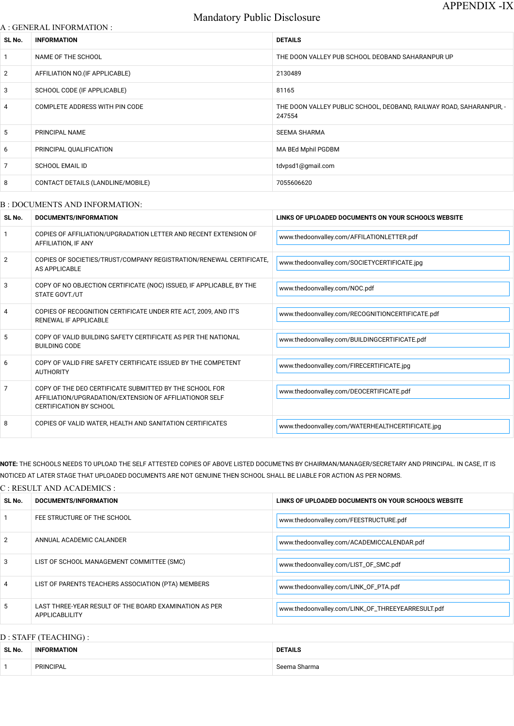# Mandatory Public Disclosure

#### A : GENERAL INFORMATION :

| SL No.          | <b>INFORMATION</b>                | <b>DETAILS</b>                                                                |
|-----------------|-----------------------------------|-------------------------------------------------------------------------------|
| 1               | NAME OF THE SCHOOL                | THE DOON VALLEY PUB SCHOOL DEOBAND SAHARANPUR UP                              |
| $\overline{2}$  | AFFILIATION NO. (IF APPLICABLE)   | 2130489                                                                       |
| 3               | SCHOOL CODE (IF APPLICABLE)       | 81165                                                                         |
| $\overline{4}$  | COMPLETE ADDRESS WITH PIN CODE    | THE DOON VALLEY PUBLIC SCHOOL, DEOBAND, RAILWAY ROAD, SAHARANPUR, -<br>247554 |
| $5\phantom{.0}$ | PRINCIPAL NAME                    | <b>SEEMA SHARMA</b>                                                           |
| 6               | PRINCIPAL QUALIFICATION           | MA BEd Mphil PGDBM                                                            |
| $\overline{7}$  | <b>SCHOOL EMAIL ID</b>            | tdvpsd1@gmail.com                                                             |
| 8               | CONTACT DETAILS (LANDLINE/MOBILE) | 7055606620                                                                    |
|                 |                                   |                                                                               |

#### B : DOCUMENTS AND INFORMATION:

# C : RESULT AND ACADEMICS : **SL No. DOCUMENTS/INFORMATION LINKS OF UPLOADED DOCUMENTS ON YOUR SCHOOL'S WEBSITE** 1 FEE STRUCTURE OF THE SCHOOL **Example 20 State 1 and 20 State 1 and 20 State 1** and 20 State 1 and 20 State 1 and 20 State 1 and 20 State 1 and 20 State 1 and 20 State 1 and 20 State 1 and 20 State 1 and 20 State 1 and 20 2 ANNUAL ACADEMIC CALANDER AND A RESERVE TO A LATER WATER WAS ARRESTED FOR A LATER WARD AND A LATER ON A LATER ON A LATER ON A LATER ON A LATER ON A LATER ON A LATER ON A LATER ON A LATER ON A LATER ON A LATER ON A LATER O — L

| SL No.         | <b>DOCUMENTS/INFORMATION</b>                                                                                                                         | LINKS OF UPLOADED DOCUMENTS ON YOUR SCHOOL'S WEBSITE |  |
|----------------|------------------------------------------------------------------------------------------------------------------------------------------------------|------------------------------------------------------|--|
|                | COPIES OF AFFILIATION/UPGRADATION LETTER AND RECENT EXTENSION OF<br>AFFILIATION, IF ANY                                                              | www.thedoonvalley.com/AFFILATIONLETTER.pdf           |  |
| 2              | COPIES OF SOCIETIES/TRUST/COMPANY REGISTRATION/RENEWAL CERTIFICATE,<br>AS APPLICABLE                                                                 | www.thedoonvalley.com/SOCIETYCERTIFICATE.jpg         |  |
| 3              | COPY OF NO OBJECTION CERTIFICATE (NOC) ISSUED, IF APPLICABLE, BY THE<br><b>STATE GOVT./UT</b>                                                        | www.thedoonvalley.com/NOC.pdf                        |  |
| 4              | COPIES OF RECOGNITION CERTIFICATE UNDER RTE ACT, 2009, AND IT'S<br>RENEWAL IF APPLICABLE                                                             | www.thedoonvalley.com/RECOGNITIONCERTIFICATE.pdf     |  |
| 5              | COPY OF VALID BUILDING SAFETY CERTIFICATE AS PER THE NATIONAL<br><b>BUILDING CODE</b>                                                                | www.thedoonvalley.com/BUILDINGCERTIFICATE.pdf        |  |
| 6              | COPY OF VALID FIRE SAFETY CERTIFICATE ISSUED BY THE COMPETENT<br><b>AUTHORITY</b>                                                                    | www.thedoonvalley.com/FIRECERTIFICATE.jpg            |  |
| $\overline{7}$ | COPY OF THE DEO CERTIFICATE SUBMITTED BY THE SCHOOL FOR<br>AFFILIATION/UPGRADATION/EXTENSION OF AFFILIATIONOR SELF<br><b>CERTIFICATION BY SCHOOL</b> | www.thedoonvalley.com/DEOCERTIFICATE.pdf             |  |
| 8              | COPIES OF VALID WATER, HEALTH AND SANITATION CERTIFICATES                                                                                            | www.thedoonvalley.com/WATERHEALTHCERTIFICATE.jpg     |  |

**NOTE:** THE SCHOOLS NEEDS TO UPLOAD THE SELF ATTESTED COPIES OF ABOVE LISTED DOCUMETNS BY CHAIRMAN/MANAGER/SECRETARY AND PRINCIPAL. IN CASE, IT IS NOTICED AT LATER STAGE THAT UPLOADED DOCUMENTS ARE NOT GENUINE THEN SCHOOL SHALL BE LIABLE FOR ACTION AS PER NORMS.

| 3              | LIST OF SCHOOL MANAGEMENT COMMITTEE (SMC)                                       | www.thedoonvalley.com/LIST_OF_SMC.pdf             |
|----------------|---------------------------------------------------------------------------------|---------------------------------------------------|
| $\overline{4}$ | LIST OF PARENTS TEACHERS ASSOCIATION (PTA) MEMBERS                              | www.thedoonvalley.com/LINK_OF_PTA.pdf             |
| 5              | LAST THREE-YEAR RESULT OF THE BOARD EXAMINATION AS PER<br><b>APPLICABLILITY</b> | www.thedoonvalley.com/LINK_OF_THREEYEARRESULT.pdf |

### D : STAFF (TEACHING) :

| SL No. | <b>INFORMATION</b> | <b>DETAILS</b> |
|--------|--------------------|----------------|
|        | PRINCIPAL          | Seema Sharma   |